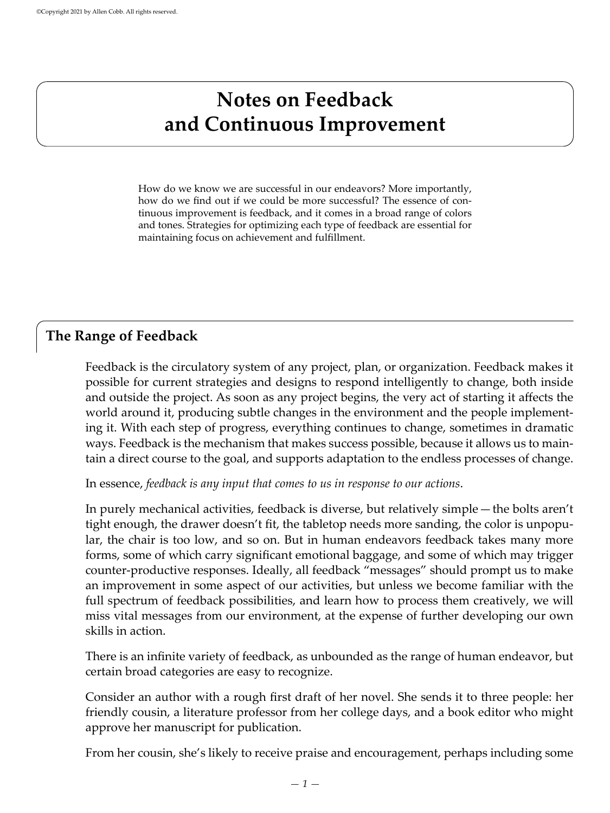# **Notes on Feedback and Continuous Improvement**

How do we know we are successful in our endeavors? More importantly, how do we find out if we could be more successful? The essence of continuous improvement is feedback, and it comes in a broad range of colors and tones. Strategies for optimizing each type of feedback are essential for maintaining focus on achievement and fulfillment.

## **The Range of Feedback**

Feedback is the circulatory system of any project, plan, or organization. Feedback makes it possible for current strategies and designs to respond intelligently to change, both inside and outside the project. As soon as any project begins, the very act of starting it affects the world around it, producing subtle changes in the environment and the people implementing it. With each step of progress, everything continues to change, sometimes in dramatic ways. Feedback is the mechanism that makes success possible, because it allows us to maintain a direct course to the goal, and supports adaptation to the endless processes of change.

In essence, *feedback is any input that comes to us in response to our actions*.

In purely mechanical activities, feedback is diverse, but relatively simple — the bolts aren't tight enough, the drawer doesn't fit, the tabletop needs more sanding, the color is unpopular, the chair is too low, and so on. But in human endeavors feedback takes many more forms, some of which carry significant emotional baggage, and some of which may trigger counter-productive responses. Ideally, all feedback "messages" should prompt us to make an improvement in some aspect of our activities, but unless we become familiar with the full spectrum of feedback possibilities, and learn how to process them creatively, we will miss vital messages from our environment, at the expense of further developing our own skills in action.

There is an infinite variety of feedback, as unbounded as the range of human endeavor, but certain broad categories are easy to recognize.

Consider an author with a rough first draft of her novel. She sends it to three people: her friendly cousin, a literature professor from her college days, and a book editor who might approve her manuscript for publication.

From her cousin, she's likely to receive praise and encouragement, perhaps including some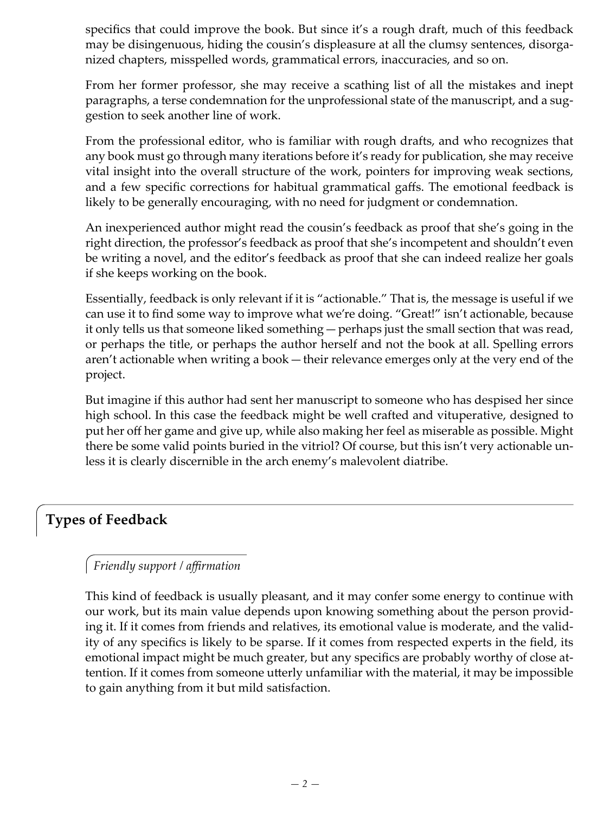specifics that could improve the book. But since it's a rough draft, much of this feedback may be disingenuous, hiding the cousin's displeasure at all the clumsy sentences, disorganized chapters, misspelled words, grammatical errors, inaccuracies, and so on.

From her former professor, she may receive a scathing list of all the mistakes and inept paragraphs, a terse condemnation for the unprofessional state of the manuscript, and a suggestion to seek another line of work.

From the professional editor, who is familiar with rough drafts, and who recognizes that any book must go through many iterations before it's ready for publication, she may receive vital insight into the overall structure of the work, pointers for improving weak sections, and a few specific corrections for habitual grammatical gaffs. The emotional feedback is likely to be generally encouraging, with no need for judgment or condemnation.

An inexperienced author might read the cousin's feedback as proof that she's going in the right direction, the professor's feedback as proof that she's incompetent and shouldn't even be writing a novel, and the editor's feedback as proof that she can indeed realize her goals if she keeps working on the book.

Essentially, feedback is only relevant if it is "actionable." That is, the message is useful if we can use it to find some way to improve what we're doing. "Great!" isn't actionable, because it only tells us that someone liked something — perhaps just the small section that was read, or perhaps the title, or perhaps the author herself and not the book at all. Spelling errors aren't actionable when writing a book — their relevance emerges only at the very end of the project.

But imagine if this author had sent her manuscript to someone who has despised her since high school. In this case the feedback might be well crafted and vituperative, designed to put her off her game and give up, while also making her feel as miserable as possible. Might there be some valid points buried in the vitriol? Of course, but this isn't very actionable unless it is clearly discernible in the arch enemy's malevolent diatribe.

# **Types of Feedback**

#### *Friendly support / affirmation*

This kind of feedback is usually pleasant, and it may confer some energy to continue with our work, but its main value depends upon knowing something about the person providing it. If it comes from friends and relatives, its emotional value is moderate, and the validity of any specifics is likely to be sparse. If it comes from respected experts in the field, its emotional impact might be much greater, but any specifics are probably worthy of close attention. If it comes from someone utterly unfamiliar with the material, it may be impossible to gain anything from it but mild satisfaction.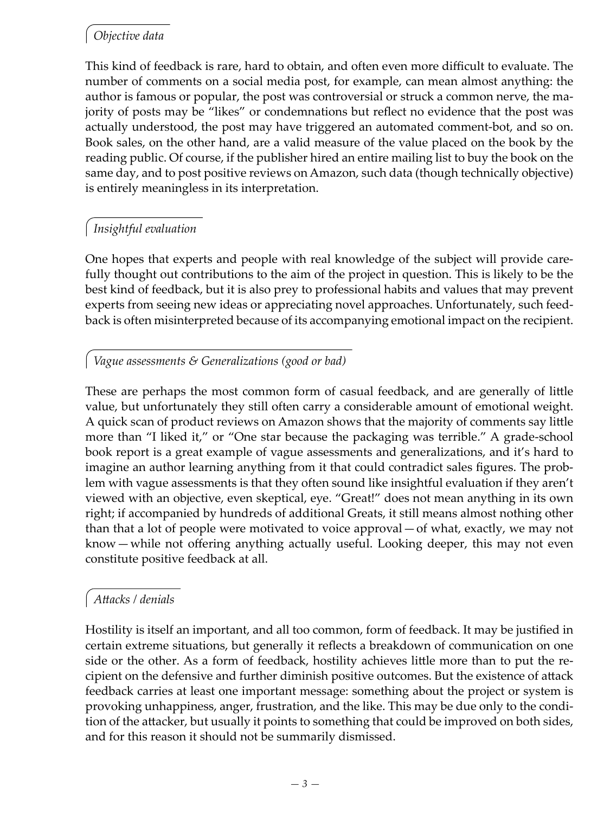## *Objective data*

This kind of feedback is rare, hard to obtain, and often even more difficult to evaluate. The number of comments on a social media post, for example, can mean almost anything: the author is famous or popular, the post was controversial or struck a common nerve, the majority of posts may be "likes" or condemnations but reflect no evidence that the post was actually understood, the post may have triggered an automated comment-bot, and so on. Book sales, on the other hand, are a valid measure of the value placed on the book by the reading public. Of course, if the publisher hired an entire mailing list to buy the book on the same day, and to post positive reviews on Amazon, such data (though technically objective) is entirely meaningless in its interpretation.

### *Insightful evaluation*

One hopes that experts and people with real knowledge of the subject will provide carefully thought out contributions to the aim of the project in question. This is likely to be the best kind of feedback, but it is also prey to professional habits and values that may prevent experts from seeing new ideas or appreciating novel approaches. Unfortunately, such feedback is often misinterpreted because of its accompanying emotional impact on the recipient.

#### *Vague assessments & Generalizations (good or bad)*

These are perhaps the most common form of casual feedback, and are generally of little value, but unfortunately they still often carry a considerable amount of emotional weight. A quick scan of product reviews on Amazon shows that the majority of comments say little more than "I liked it," or "One star because the packaging was terrible." A grade-school book report is a great example of vague assessments and generalizations, and it's hard to imagine an author learning anything from it that could contradict sales figures. The problem with vague assessments is that they often sound like insightful evaluation if they aren't viewed with an objective, even skeptical, eye. "Great!" does not mean anything in its own right; if accompanied by hundreds of additional Greats, it still means almost nothing other than that a lot of people were motivated to voice approval — of what, exactly, we may not know — while not offering anything actually useful. Looking deeper, this may not even constitute positive feedback at all.

## *Attacks / denials*

Hostility is itself an important, and all too common, form of feedback. It may be justified in certain extreme situations, but generally it reflects a breakdown of communication on one side or the other. As a form of feedback, hostility achieves little more than to put the recipient on the defensive and further diminish positive outcomes. But the existence of attack feedback carries at least one important message: something about the project or system is provoking unhappiness, anger, frustration, and the like. This may be due only to the condition of the attacker, but usually it points to something that could be improved on both sides, and for this reason it should not be summarily dismissed.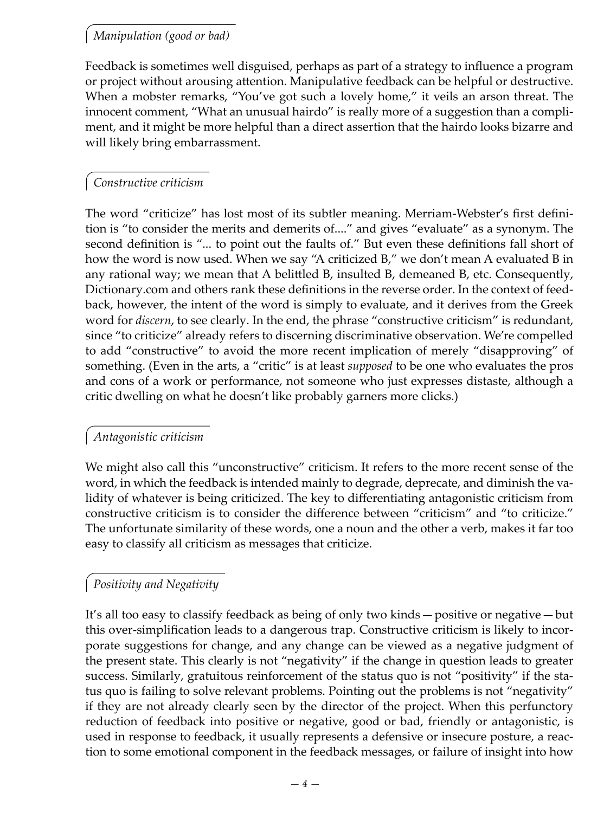### *Manipulation (good or bad)*

Feedback is sometimes well disguised, perhaps as part of a strategy to influence a program or project without arousing attention. Manipulative feedback can be helpful or destructive. When a mobster remarks, "You've got such a lovely home," it veils an arson threat. The innocent comment, "What an unusual hairdo" is really more of a suggestion than a compliment, and it might be more helpful than a direct assertion that the hairdo looks bizarre and will likely bring embarrassment.

#### *Constructive criticism*

The word "criticize" has lost most of its subtler meaning. Merriam-Webster's first definition is "to consider the merits and demerits of...." and gives "evaluate" as a synonym. The second definition is "... to point out the faults of." But even these definitions fall short of how the word is now used. When we say "A criticized B," we don't mean A evaluated B in any rational way; we mean that A belittled B, insulted B, demeaned B, etc. Consequently, Dictionary.com and others rank these definitions in the reverse order. In the context of feedback, however, the intent of the word is simply to evaluate, and it derives from the Greek word for *discern*, to see clearly. In the end, the phrase "constructive criticism" is redundant, since "to criticize" already refers to discerning discriminative observation. We're compelled to add "constructive" to avoid the more recent implication of merely "disapproving" of something. (Even in the arts, a "critic" is at least *supposed* to be one who evaluates the pros and cons of a work or performance, not someone who just expresses distaste, although a critic dwelling on what he doesn't like probably garners more clicks.)

#### *Antagonistic criticism*

We might also call this "unconstructive" criticism. It refers to the more recent sense of the word, in which the feedback is intended mainly to degrade, deprecate, and diminish the validity of whatever is being criticized. The key to differentiating antagonistic criticism from constructive criticism is to consider the difference between "criticism" and "to criticize." The unfortunate similarity of these words, one a noun and the other a verb, makes it far too easy to classify all criticism as messages that criticize.

#### *Positivity and Negativity*

It's all too easy to classify feedback as being of only two kinds — positive or negative — but this over-simplification leads to a dangerous trap. Constructive criticism is likely to incorporate suggestions for change, and any change can be viewed as a negative judgment of the present state. This clearly is not "negativity" if the change in question leads to greater success. Similarly, gratuitous reinforcement of the status quo is not "positivity" if the status quo is failing to solve relevant problems. Pointing out the problems is not "negativity" if they are not already clearly seen by the director of the project. When this perfunctory reduction of feedback into positive or negative, good or bad, friendly or antagonistic, is used in response to feedback, it usually represents a defensive or insecure posture, a reaction to some emotional component in the feedback messages, or failure of insight into how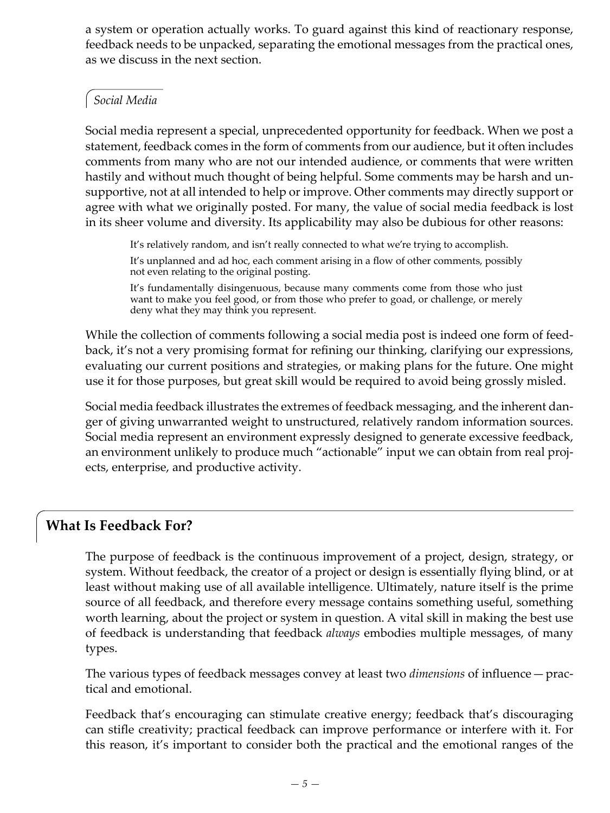a system or operation actually works. To guard against this kind of reactionary response, feedback needs to be unpacked, separating the emotional messages from the practical ones, as we discuss in the next section.

#### *Social Media*

Social media represent a special, unprecedented opportunity for feedback. When we post a statement, feedback comes in the form of comments from our audience, but it often includes comments from many who are not our intended audience, or comments that were written hastily and without much thought of being helpful. Some comments may be harsh and unsupportive, not at all intended to help or improve. Other comments may directly support or agree with what we originally posted. For many, the value of social media feedback is lost in its sheer volume and diversity. Its applicability may also be dubious for other reasons:

It's relatively random, and isn't really connected to what we're trying to accomplish.

It's unplanned and ad hoc, each comment arising in a flow of other comments, possibly not even relating to the original posting.

It's fundamentally disingenuous, because many comments come from those who just want to make you feel good, or from those who prefer to goad, or challenge, or merely deny what they may think you represent.

While the collection of comments following a social media post is indeed one form of feedback, it's not a very promising format for refining our thinking, clarifying our expressions, evaluating our current positions and strategies, or making plans for the future. One might use it for those purposes, but great skill would be required to avoid being grossly misled.

Social media feedback illustrates the extremes of feedback messaging, and the inherent danger of giving unwarranted weight to unstructured, relatively random information sources. Social media represent an environment expressly designed to generate excessive feedback, an environment unlikely to produce much "actionable" input we can obtain from real projects, enterprise, and productive activity.

# **What Is Feedback For?**

The purpose of feedback is the continuous improvement of a project, design, strategy, or system. Without feedback, the creator of a project or design is essentially flying blind, or at least without making use of all available intelligence. Ultimately, nature itself is the prime source of all feedback, and therefore every message contains something useful, something worth learning, about the project or system in question. A vital skill in making the best use of feedback is understanding that feedback *always* embodies multiple messages, of many types.

The various types of feedback messages convey at least two *dimensions* of influence — practical and emotional.

Feedback that's encouraging can stimulate creative energy; feedback that's discouraging can stifle creativity; practical feedback can improve performance or interfere with it. For this reason, it's important to consider both the practical and the emotional ranges of the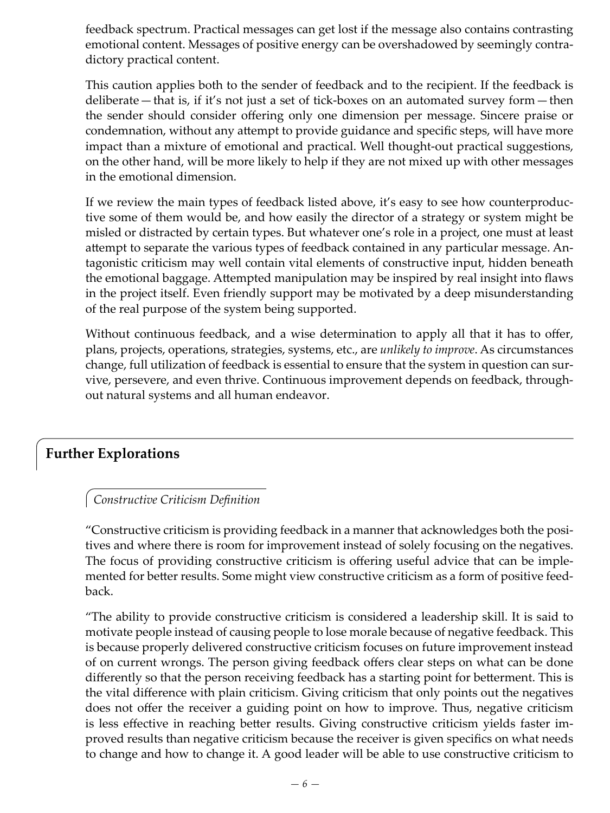feedback spectrum. Practical messages can get lost if the message also contains contrasting emotional content. Messages of positive energy can be overshadowed by seemingly contradictory practical content.

This caution applies both to the sender of feedback and to the recipient. If the feedback is deliberate—that is, if it's not just a set of tick-boxes on an automated survey form—then the sender should consider offering only one dimension per message. Sincere praise or condemnation, without any attempt to provide guidance and specific steps, will have more impact than a mixture of emotional and practical. Well thought-out practical suggestions, on the other hand, will be more likely to help if they are not mixed up with other messages in the emotional dimension.

If we review the main types of feedback listed above, it's easy to see how counterproductive some of them would be, and how easily the director of a strategy or system might be misled or distracted by certain types. But whatever one's role in a project, one must at least attempt to separate the various types of feedback contained in any particular message. Antagonistic criticism may well contain vital elements of constructive input, hidden beneath the emotional baggage. Attempted manipulation may be inspired by real insight into flaws in the project itself. Even friendly support may be motivated by a deep misunderstanding of the real purpose of the system being supported.

Without continuous feedback, and a wise determination to apply all that it has to offer, plans, projects, operations, strategies, systems, etc., are *unlikely to improve*. As circumstances change, full utilization of feedback is essential to ensure that the system in question can survive, persevere, and even thrive. Continuous improvement depends on feedback, throughout natural systems and all human endeavor.

## **Further Explorations**

#### *Constructive Criticism Definition*

"Constructive criticism is providing feedback in a manner that acknowledges both the positives and where there is room for improvement instead of solely focusing on the negatives. The focus of providing constructive criticism is offering useful advice that can be implemented for better results. Some might view constructive criticism as a form of positive feedback.

"The ability to provide constructive criticism is considered a leadership skill. It is said to motivate people instead of causing people to lose morale because of negative feedback. This is because properly delivered constructive criticism focuses on future improvement instead of on current wrongs. The person giving feedback offers clear steps on what can be done differently so that the person receiving feedback has a starting point for betterment. This is the vital difference with plain criticism. Giving criticism that only points out the negatives does not offer the receiver a guiding point on how to improve. Thus, negative criticism is less effective in reaching better results. Giving constructive criticism yields faster improved results than negative criticism because the receiver is given specifics on what needs to change and how to change it. A good leader will be able to use constructive criticism to